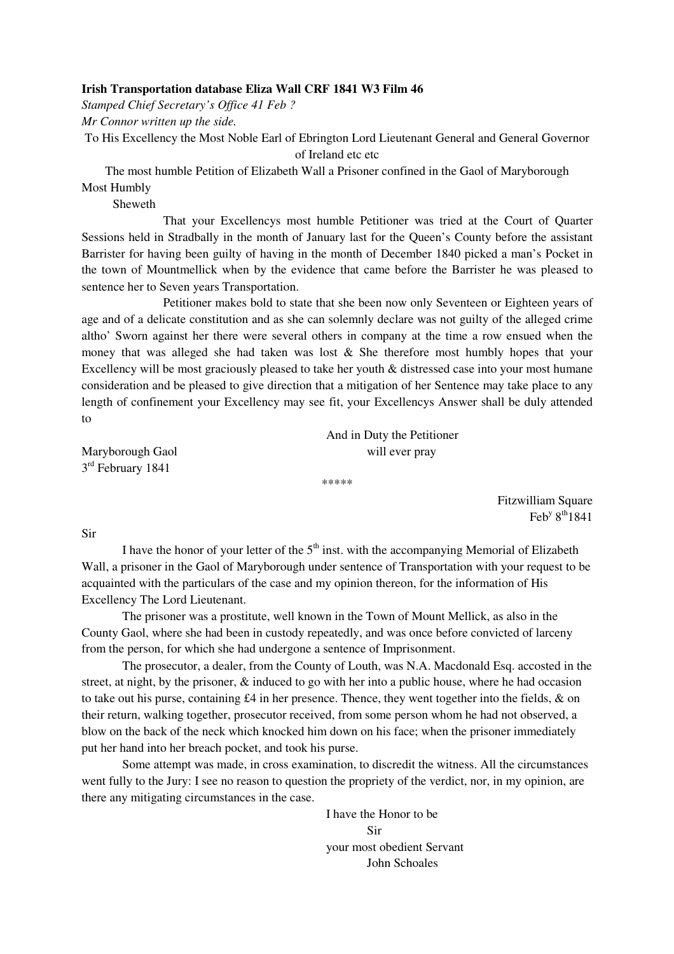## **Irish Transportation database Eliza Wall CRF 1841 W3 Film 46**

*Stamped Chief Secretary's Office 41 Feb ?* 

*Mr Connor written up the side.* 

To His Excellency the Most Noble Earl of Ebrington Lord Lieutenant General and General Governor of Ireland etc etc

The most humble Petition of Elizabeth Wall a Prisoner confined in the Gaol of Maryborough Most Humbly

Sheweth

 That your Excellencys most humble Petitioner was tried at the Court of Quarter Sessions held in Stradbally in the month of January last for the Queen's County before the assistant Barrister for having been guilty of having in the month of December 1840 picked a man's Pocket in the town of Mountmellick when by the evidence that came before the Barrister he was pleased to sentence her to Seven years Transportation.

 Petitioner makes bold to state that she been now only Seventeen or Eighteen years of age and of a delicate constitution and as she can solemnly declare was not guilty of the alleged crime altho' Sworn against her there were several others in company at the time a row ensued when the money that was alleged she had taken was lost  $\&$  She therefore most humbly hopes that your Excellency will be most graciously pleased to take her youth & distressed case into your most humane consideration and be pleased to give direction that a mitigation of her Sentence may take place to any length of confinement your Excellency may see fit, your Excellencys Answer shall be duly attended to

 And in Duty the Petitioner Maryborough Gaol will ever pray

3<sup>rd</sup> February 1841

Fitzwilliam Square  $\text{Feb}^{\text{y}} 8^{\text{th}} 1841$ 

Sir

I have the honor of your letter of the  $5<sup>th</sup>$  inst. with the accompanying Memorial of Elizabeth Wall, a prisoner in the Gaol of Maryborough under sentence of Transportation with your request to be acquainted with the particulars of the case and my opinion thereon, for the information of His Excellency The Lord Lieutenant.

\*\*\*\*\*

 The prisoner was a prostitute, well known in the Town of Mount Mellick, as also in the County Gaol, where she had been in custody repeatedly, and was once before convicted of larceny from the person, for which she had undergone a sentence of Imprisonment.

 The prosecutor, a dealer, from the County of Louth, was N.A. Macdonald Esq. accosted in the street, at night, by the prisoner, & induced to go with her into a public house, where he had occasion to take out his purse, containing £4 in her presence. Thence, they went together into the fields, & on their return, walking together, prosecutor received, from some person whom he had not observed, a blow on the back of the neck which knocked him down on his face; when the prisoner immediately put her hand into her breach pocket, and took his purse.

 Some attempt was made, in cross examination, to discredit the witness. All the circumstances went fully to the Jury: I see no reason to question the propriety of the verdict, nor, in my opinion, are there any mitigating circumstances in the case.

 I have the Honor to be **Sir**  your most obedient Servant John Schoales